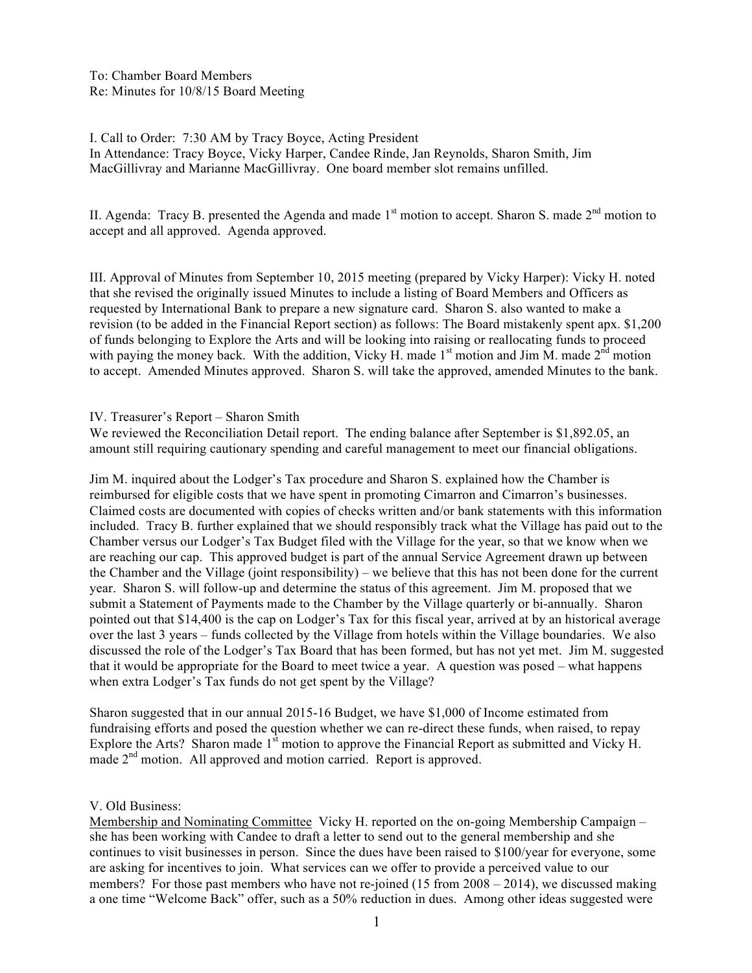To: Chamber Board Members Re: Minutes for 10/8/15 Board Meeting

I. Call to Order: 7:30 AM by Tracy Boyce, Acting President In Attendance: Tracy Boyce, Vicky Harper, Candee Rinde, Jan Reynolds, Sharon Smith, Jim MacGillivray and Marianne MacGillivray. One board member slot remains unfilled.

II. Agenda: Tracy B. presented the Agenda and made  $1<sup>st</sup>$  motion to accept. Sharon S. made  $2<sup>nd</sup>$  motion to accept and all approved. Agenda approved.

III. Approval of Minutes from September 10, 2015 meeting (prepared by Vicky Harper): Vicky H. noted that she revised the originally issued Minutes to include a listing of Board Members and Officers as requested by International Bank to prepare a new signature card. Sharon S. also wanted to make a revision (to be added in the Financial Report section) as follows: The Board mistakenly spent apx. \$1,200 of funds belonging to Explore the Arts and will be looking into raising or reallocating funds to proceed with paying the money back. With the addition, Vicky H. made  $1<sup>st</sup>$  motion and Jim M. made  $2<sup>nd</sup>$  motion to accept. Amended Minutes approved. Sharon S. will take the approved, amended Minutes to the bank.

IV. Treasurer's Report – Sharon Smith

We reviewed the Reconciliation Detail report. The ending balance after September is \$1,892.05, an amount still requiring cautionary spending and careful management to meet our financial obligations.

Jim M. inquired about the Lodger's Tax procedure and Sharon S. explained how the Chamber is reimbursed for eligible costs that we have spent in promoting Cimarron and Cimarron's businesses. Claimed costs are documented with copies of checks written and/or bank statements with this information included. Tracy B. further explained that we should responsibly track what the Village has paid out to the Chamber versus our Lodger's Tax Budget filed with the Village for the year, so that we know when we are reaching our cap. This approved budget is part of the annual Service Agreement drawn up between the Chamber and the Village (joint responsibility) – we believe that this has not been done for the current year. Sharon S. will follow-up and determine the status of this agreement. Jim M. proposed that we submit a Statement of Payments made to the Chamber by the Village quarterly or bi-annually. Sharon pointed out that \$14,400 is the cap on Lodger's Tax for this fiscal year, arrived at by an historical average over the last 3 years – funds collected by the Village from hotels within the Village boundaries. We also discussed the role of the Lodger's Tax Board that has been formed, but has not yet met. Jim M. suggested that it would be appropriate for the Board to meet twice a year. A question was posed – what happens when extra Lodger's Tax funds do not get spent by the Village?

Sharon suggested that in our annual 2015-16 Budget, we have \$1,000 of Income estimated from fundraising efforts and posed the question whether we can re-direct these funds, when raised, to repay Explore the Arts? Sharon made  $1<sup>st</sup>$  motion to approve the Financial Report as submitted and Vicky H. made  $2<sup>nd</sup>$  motion. All approved and motion carried. Report is approved.

## V. Old Business:

Membership and Nominating Committee Vicky H. reported on the on-going Membership Campaign – she has been working with Candee to draft a letter to send out to the general membership and she continues to visit businesses in person. Since the dues have been raised to \$100/year for everyone, some are asking for incentives to join. What services can we offer to provide a perceived value to our members? For those past members who have not re-joined (15 from 2008 – 2014), we discussed making a one time "Welcome Back" offer, such as a 50% reduction in dues. Among other ideas suggested were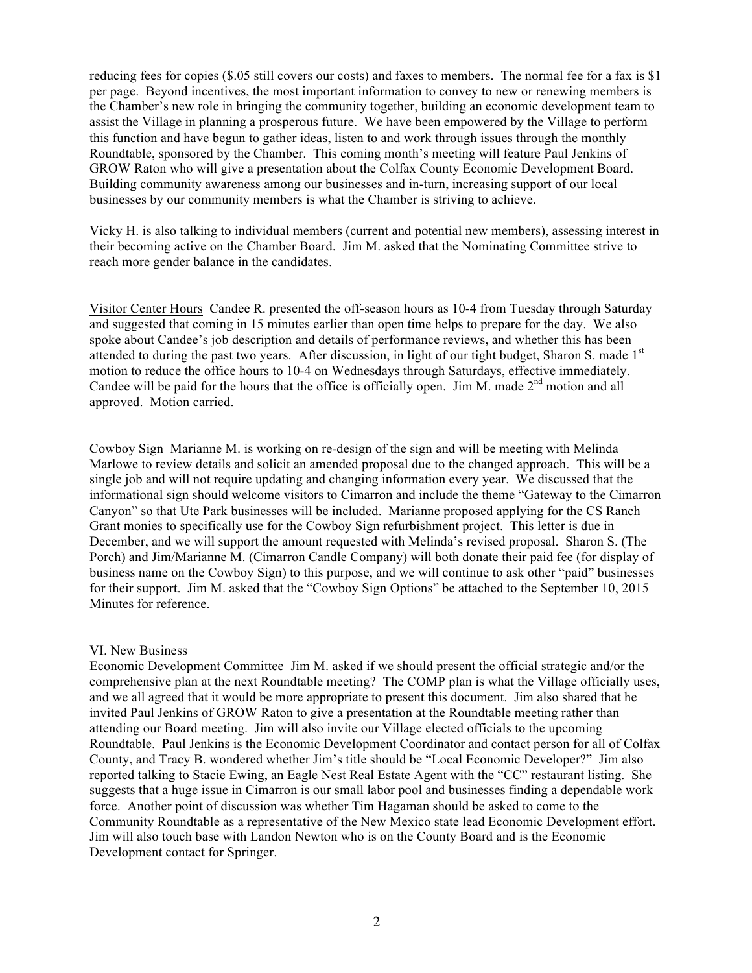reducing fees for copies (\$.05 still covers our costs) and faxes to members. The normal fee for a fax is \$1 per page. Beyond incentives, the most important information to convey to new or renewing members is the Chamber's new role in bringing the community together, building an economic development team to assist the Village in planning a prosperous future. We have been empowered by the Village to perform this function and have begun to gather ideas, listen to and work through issues through the monthly Roundtable, sponsored by the Chamber. This coming month's meeting will feature Paul Jenkins of GROW Raton who will give a presentation about the Colfax County Economic Development Board. Building community awareness among our businesses and in-turn, increasing support of our local businesses by our community members is what the Chamber is striving to achieve.

Vicky H. is also talking to individual members (current and potential new members), assessing interest in their becoming active on the Chamber Board. Jim M. asked that the Nominating Committee strive to reach more gender balance in the candidates.

Visitor Center Hours Candee R. presented the off-season hours as 10-4 from Tuesday through Saturday and suggested that coming in 15 minutes earlier than open time helps to prepare for the day. We also spoke about Candee's job description and details of performance reviews, and whether this has been attended to during the past two years. After discussion, in light of our tight budget, Sharon S. made  $1<sup>st</sup>$ motion to reduce the office hours to 10-4 on Wednesdays through Saturdays, effective immediately. Candee will be paid for the hours that the office is officially open. Jim M. made  $2<sup>nd</sup>$  motion and all approved. Motion carried.

Cowboy Sign Marianne M. is working on re-design of the sign and will be meeting with Melinda Marlowe to review details and solicit an amended proposal due to the changed approach. This will be a single job and will not require updating and changing information every year. We discussed that the informational sign should welcome visitors to Cimarron and include the theme "Gateway to the Cimarron Canyon" so that Ute Park businesses will be included. Marianne proposed applying for the CS Ranch Grant monies to specifically use for the Cowboy Sign refurbishment project. This letter is due in December, and we will support the amount requested with Melinda's revised proposal. Sharon S. (The Porch) and Jim/Marianne M. (Cimarron Candle Company) will both donate their paid fee (for display of business name on the Cowboy Sign) to this purpose, and we will continue to ask other "paid" businesses for their support. Jim M. asked that the "Cowboy Sign Options" be attached to the September 10, 2015 Minutes for reference.

## VI. New Business

Economic Development Committee Jim M. asked if we should present the official strategic and/or the comprehensive plan at the next Roundtable meeting? The COMP plan is what the Village officially uses, and we all agreed that it would be more appropriate to present this document. Jim also shared that he invited Paul Jenkins of GROW Raton to give a presentation at the Roundtable meeting rather than attending our Board meeting. Jim will also invite our Village elected officials to the upcoming Roundtable. Paul Jenkins is the Economic Development Coordinator and contact person for all of Colfax County, and Tracy B. wondered whether Jim's title should be "Local Economic Developer?" Jim also reported talking to Stacie Ewing, an Eagle Nest Real Estate Agent with the "CC" restaurant listing. She suggests that a huge issue in Cimarron is our small labor pool and businesses finding a dependable work force. Another point of discussion was whether Tim Hagaman should be asked to come to the Community Roundtable as a representative of the New Mexico state lead Economic Development effort. Jim will also touch base with Landon Newton who is on the County Board and is the Economic Development contact for Springer.